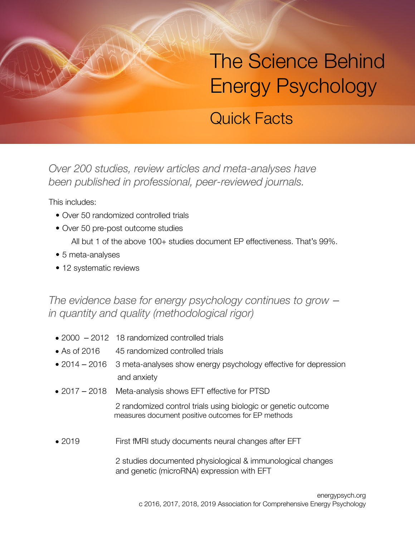## The Science Behind Energy Psychology

## Quick Facts

*Over 200 studies, review articles and meta-analyses have been published in professional, peer-reviewed journals.*

This includes:

- Over 50 randomized controlled trials
- Over 50 pre-post outcome studies All but 1 of the above 100+ studies document EP effectiveness. That's 99%.
- 5 meta-analyses
- 12 systematic reviews

*The evidence base for energy psychology continues to grow – in quantity and quality (methodological rigor)*

- 2000 2012 18 randomized controlled trials
- As of 2016 45 randomized controlled trials
- 2014 2016 3 meta-analyses show energy psychology effective for depression and anxiety
- 2017 2018 Meta-analysis shows EFT effective for PTSD

 2 randomized control trials using biologic or genetic outcome measures document positive outcomes for EP methods

• 2019 First fMRI study documents neural changes after EFT

 2 studies documented physiological & immunological changes and genetic (microRNA) expression with EFT